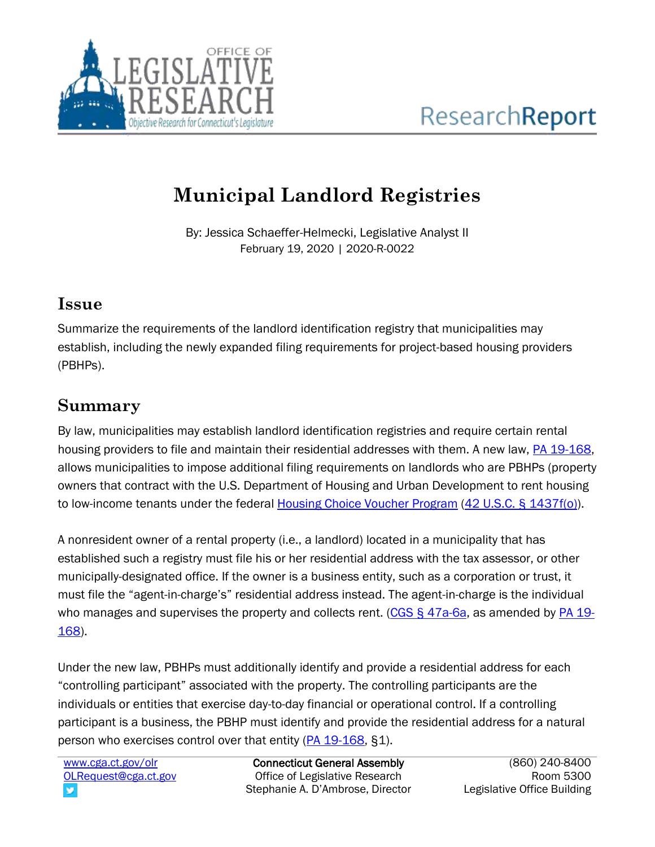

## **Municipal Landlord Registries**

By: Jessica Schaeffer-Helmecki, Legislative Analyst II February 19, 2020 | 2020-R-0022

## **Issue**

Summarize the requirements of the landlord identification registry that municipalities may establish, including the newly expanded filing requirements for project-based housing providers (PBHPs).

## **Summary**

By law, municipalities may establish landlord identification registries and require certain rental housing providers to file and maintain their residential addresses with them. A new law, [PA 19-168,](https://www.cga.ct.gov/asp/cgabillstatus/cgabillstatus.asp?selBillType=Public+Act&which_year=2019&bill_num=168) allows municipalities to impose additional filing requirements on landlords who are PBHPs (property owners that contract with the U.S. Department of Housing and Urban Development to rent housing to low-income tenants under the federal [Housing Choice Voucher Program](https://www.hud.gov/program_offices/public_indian_housing/programs/hcv) (42 U.S.C. [§ 1437f\(o\)\)](https://uscode.house.gov/view.xhtml?req=granuleid:USC-prelim-title42-section1437f&num=0&edition=prelim).

A nonresident owner of a rental property (i.e., a landlord) located in a municipality that has established such a registry must file his or her residential address with the tax assessor, or other municipally-designated office. If the owner is a business entity, such as a corporation or trust, it must file the "agent-in-charge's" residential address instead. The agent-in-charge is the individual who manages and supervises the property and collects rent. [\(CGS § 47a-6a,](https://www.cga.ct.gov/current/pub/chap_830.htm#sec_47a-6a) as amended by [PA 19-](https://www.cga.ct.gov/asp/cgabillstatus/cgabillstatus.asp?selBillType=Public+Act&which_year=2019&bill_num=168) [168\)](https://www.cga.ct.gov/asp/cgabillstatus/cgabillstatus.asp?selBillType=Public+Act&which_year=2019&bill_num=168).

Under the new law, PBHPs must additionally identify and provide a residential address for each "controlling participant" associated with the property. The controlling participants are the individuals or entities that exercise day-to-day financial or operational control. If a controlling participant is a business, the PBHP must identify and provide the residential address for a natural person who exercises control over that entity [\(PA 19-168,](https://www.cga.ct.gov/asp/cgabillstatus/cgabillstatus.asp?selBillType=Public+Act&which_year=2019&bill_num=168) §1).